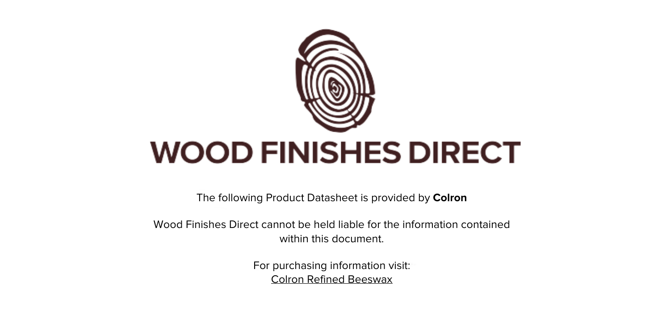

The following Product Datasheet is provided by **Colron**

Wood Finishes Direct cannot be held liable for the information contained within this document.

> For purchasing information visit: [Colron Refined Beeswax](https://www.wood-finishes-direct.com/product/colron-refined-beeswax)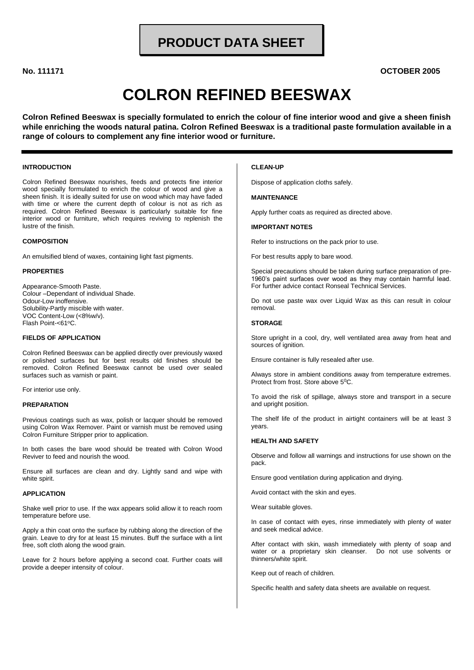# **PRODUCT DATA SHEET**

No. 111171

**OCTOBER 2005** 

# **COLRON REFINED BEESWAX**

Colron Refined Beeswax is specially formulated to enrich the colour of fine interior wood and give a sheen finish while enriching the woods natural patina. Colron Refined Beeswax is a traditional paste formulation available in a range of colours to complement any fine interior wood or furniture.

#### **INTRODUCTION**

Colron Refined Beeswax nourishes, feeds and protects fine interior wood specially formulated to enrich the colour of wood and give a sheen finish. It is ideally suited for use on wood which may have faded with time or where the current depth of colour is not as rich as required. Colron Refined Beeswax is particularly suitable for fine interior wood or furniture, which requires reviving to replenish the lustre of the finish

#### **COMPOSITION**

An emulsified blend of waxes, containing light fast pigments.

#### **PROPERTIES**

Appearance-Smooth Paste. Colour -Dependant of individual Shade. Odour-Low inoffensive. Solubility-Partly miscible with water. VOC Content-Low (<8%w/v). Flash Point-<61°C.

#### **FIELDS OF APPLICATION**

Colron Refined Beeswax can be applied directly over previously waxed or polished surfaces but for best results old finishes should be removed. Colron Refined Beeswax cannot be used over sealed surfaces such as varnish or paint.

For interior use only.

#### **PREPARATION**

Previous coatings such as wax, polish or lacquer should be removed using Colron Wax Remover. Paint or varnish must be removed using Colron Furniture Stripper prior to application.

In both cases the bare wood should be treated with Colron Wood Reviver to feed and nourish the wood.

Ensure all surfaces are clean and dry. Lightly sand and wipe with white spirit.

#### **APPLICATION**

Shake well prior to use. If the wax appears solid allow it to reach room temperature before use.

Apply a thin coat onto the surface by rubbing along the direction of the grain. Leave to dry for at least 15 minutes. Buff the surface with a lint free, soft cloth along the wood grain.

Leave for 2 hours before applying a second coat. Further coats will provide a deeper intensity of colour.

#### **CI FAN-UP**

Dispose of application cloths safely.

#### **MAINTENANCE**

Apply further coats as required as directed above.

#### **IMPORTANT NOTES**

Refer to instructions on the pack prior to use.

For best results apply to bare wood.

Special precautions should be taken during surface preparation of pre-1960's paint surfaces over wood as they may contain harmful lead. For further advice contact Ronseal Technical Services.

Do not use paste wax over Liquid Wax as this can result in colour removal.

#### **STORAGE**

Store upright in a cool, dry, well ventilated area away from heat and sources of ianition.

Ensure container is fully resealed after use.

Always store in ambient conditions away from temperature extremes. Protect from frost. Store above 5<sup>0</sup>C.

To avoid the risk of spillage, always store and transport in a secure and upright position.

The shelf life of the product in airtight containers will be at least 3 vears.

#### **HEALTH AND SAFETY**

Observe and follow all warnings and instructions for use shown on the pack.

Ensure good ventilation during application and drying.

Avoid contact with the skin and eyes.

Wear suitable gloves.

In case of contact with eyes, rinse immediately with plenty of water and seek medical advice.

After contact with skin, wash immediately with plenty of soap and water or a proprietary skin cleanser. Do not use solvents or thinners/white spirit.

Keep out of reach of children.

Specific health and safety data sheets are available on request.